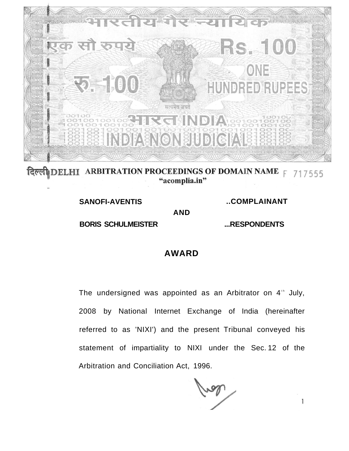

**ARBITRATION PROCEEDINGS OF DOMAIN NAME**  $F$  **717555** दिल्ली DELHI "acomplia.in"

> **SANOFI-AVENTIS BORIS SCHULMEISTER**

**..COMPLAINANT** 

**...RESPONDENTS** 

 $\mathbf{1}$ 

## **AWARD**

**AND** 

The undersigned was appointed as an Arbitrator on  $4$ <sup>th</sup> July, 2008 by National Internet Exchange of India (hereinafter referred to as 'NIXI') and the present Tribunal conveyed his statement of impartiality to NIXI under the Sec. 12 of the Arbitration and Conciliation Act, 1996.

ral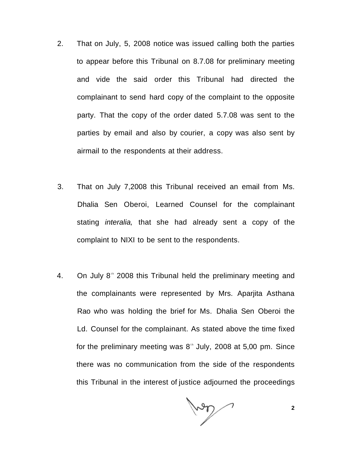- 2. That on July, 5, 2008 notice was issued calling both the parties to appear before this Tribunal on 8.7.08 for preliminary meeting and vide the said order this Tribunal had directed the complainant to send hard copy of the complaint to the opposite party. That the copy of the order dated 5.7.08 was sent to the parties by email and also by courier, a copy was also sent by airmail to the respondents at their address.
- 3. That on July 7,2008 this Tribunal received an email from Ms. Dhalia Sen Oberoi, Learned Counsel for the complainant stating *interalia*, that she had already sent a copy of the complaint to NIXI to be sent to the respondents.
- 4. On July 8<sup>th</sup> 2008 this Tribunal held the preliminary meeting and the complainants were represented by Mrs. Aparjita Asthana Rao who was holding the brief for Ms. Dhalia Sen Oberoi the Ld. Counsel for the complainant. As stated above the time fixed for the preliminary meeting was  $8^{\circ}$  July, 2008 at 5,00 pm. Since there was no communication from the side of the respondents this Tribunal in the interest of justice adjourned the proceedings

Voor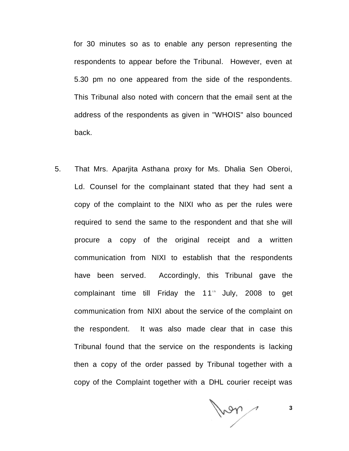for 30 minutes so as to enable any person representing the respondents to appear before the Tribunal. However, even at 5.30 pm no one appeared from the side of the respondents. This Tribunal also noted with concern that the email sent at the address of the respondents as given in "WHOIS" also bounced back.

5. That Mrs. Aparjita Asthana proxy for Ms. Dhalia Sen Oberoi, Ld. Counsel for the complainant stated that they had sent a copy of the complaint to the NIXI who as per the rules were required to send the same to the respondent and that she will procure a copy of the original receipt and a written communication from NIXI to establish that the respondents have been served. Accordingly, this Tribunal gave the complainant time till Friday the  $11<sup>th</sup>$  July, 2008 to get communication from NIXI about the service of the complaint on the respondent. It was also made clear that in case this Tribunal found that the service on the respondents is lacking then a copy of the order passed by Tribunal together with a copy of the Complaint together with a DHL courier receipt was

Man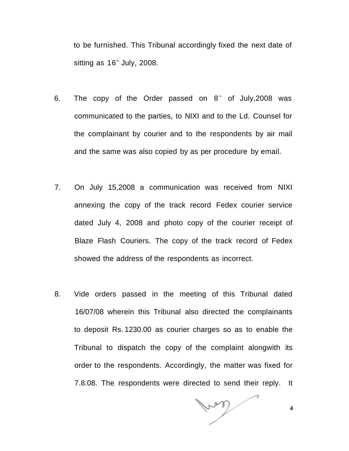to be furnished. This Tribunal accordingly fixed the next date of sitting as 16<sup>th</sup> July, 2008.

- 6. The copy of the Order passed on  $8<sup>th</sup>$  of July,2008 was communicated to the parties, to NIXI and to the Ld. Counsel for the complainant by courier and to the respondents by air mail and the same was also copied by as per procedure by email.
- 7. On July 15,2008 a communication was received from NIXI annexing the copy of the track record Fedex courier service dated July 4, 2008 and photo copy of the courier receipt of Blaze Flash Couriers. The copy of the track record of Fedex showed the address of the respondents as incorrect.
- 8. Vide orders passed in the meeting of this Tribunal dated 16/07/08 wherein this Tribunal also directed the complainants to deposit Rs. 1230.00 as courier charges so as to enable the Tribunal to dispatch the copy of the complaint alongwith its order to the respondents. Accordingly, the matter was fixed for 7.8.08. The respondents were directed to send their reply. It

low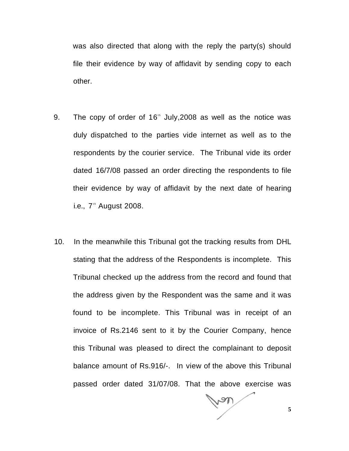was also directed that along with the reply the party(s) should file their evidence by way of affidavit by sending copy to each other.

- 9. The copy of order of  $16<sup>th</sup>$  July, 2008 as well as the notice was duly dispatched to the parties vide internet as well as to the respondents by the courier service. The Tribunal vide its order dated 16/7/08 passed an order directing the respondents to file their evidence by way of affidavit by the next date of hearing i.e., 7<sup>th</sup> August 2008.
- 10. In the meanwhile this Tribunal got the tracking results from DHL stating that the address of the Respondents is incomplete. This Tribunal checked up the address from the record and found that the address given by the Respondent was the same and it was found to be incomplete. This Tribunal was in receipt of an invoice of Rs.2146 sent to it by the Courier Company, hence this Tribunal was pleased to direct the complainant to deposit balance amount of Rs.916/-. In view of the above this Tribunal passed order dated 31/07/08. That the above exercise was

**5**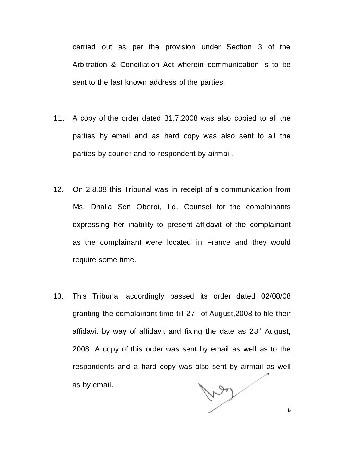carried out as per the provision under Section 3 of the Arbitration & Conciliation Act wherein communication is to be sent to the last known address of the parties.

- 11. A copy of the order dated 31.7.2008 was also copied to all the parties by email and as hard copy was also sent to all the parties by courier and to respondent by airmail.
- 12. On 2.8.08 this Tribunal was in receipt of a communication from Ms. Dhalia Sen Oberoi, Ld. Counsel for the complainants expressing her inability to present affidavit of the complainant as the complainant were located in France and they would require some time.
- 13. This Tribunal accordingly passed its order dated 02/08/08 granting the complainant time till  $27<sup>th</sup>$  of August,2008 to file their affidavit by way of affidavit and fixing the date as 28<sup>th</sup> August, 2008. A copy of this order was sent by email as well as to the respondents and a hard copy was also sent by airmail as well Ley as by email.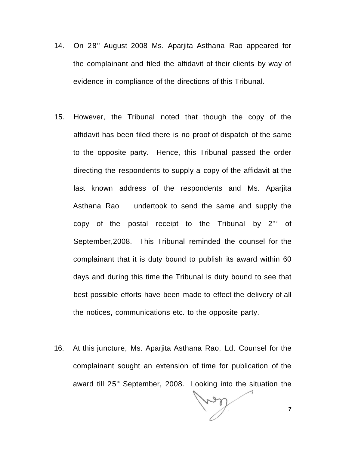- 14. On 28<sup>th</sup> August 2008 Ms. Aparjita Asthana Rao appeared for the complainant and filed the affidavit of their clients by way of evidence in compliance of the directions of this Tribunal.
- 15. However, the Tribunal noted that though the copy of the affidavit has been filed there is no proof of dispatch of the same to the opposite party. Hence, this Tribunal passed the order directing the respondents to supply a copy of the affidavit at the last known address of the respondents and Ms. Aparjita Asthana Rao undertook to send the same and supply the copy of the postal receipt to the Tribunal by  $2^{nd}$  of September,2008. This Tribunal reminded the counsel for the complainant that it is duty bound to publish its award within 60 days and during this time the Tribunal is duty bound to see that best possible efforts have been made to effect the delivery of all the notices, communications etc. to the opposite party.
- 16. At this juncture, Ms. Aparjita Asthana Rao, Ld. Counsel for the complainant sought an extension of time for publication of the award till 25<sup>th</sup> September, 2008. Looking into the situation the

**7**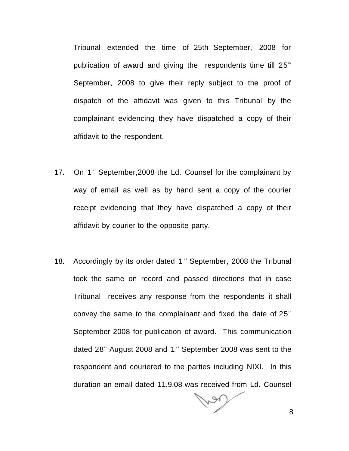Tribunal extended the time of 25th September, 2008 for publication of award and giving the respondents time till  $25<sup>th</sup>$ September, 2008 to give their reply subject to the proof of dispatch of the affidavit was given to this Tribunal by the complainant evidencing they have dispatched a copy of their affidavit to the respondent.

- 17. On 1<sup>st</sup> September, 2008 the Ld. Counsel for the complainant by way of email as well as by hand sent a copy of the courier receipt evidencing that they have dispatched a copy of their affidavit by courier to the opposite party.
- 18. Accordingly by its order dated 1<sup>st</sup> September, 2008 the Tribunal took the same on record and passed directions that in case Tribunal receives any response from the respondents it shall convey the same to the complainant and fixed the date of  $25<sup>th</sup>$ September 2008 for publication of award. This communication dated 28<sup>th</sup> August 2008 and 1<sup>st</sup> September 2008 was sent to the respondent and couriered to the parties including NIXI. In this duration an email dated 11.9.08 was received from Ld. Counsel

8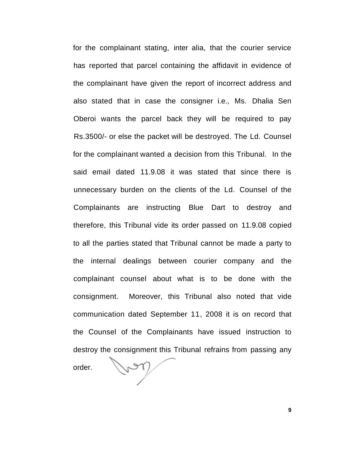for the complainant stating, inter alia, that the courier service has reported that parcel containing the affidavit in evidence of the complainant have given the report of incorrect address and also stated that in case the consigner i.e., Ms. Dhalia Sen Oberoi wants the parcel back they will be required to pay Rs.3500/- or else the packet will be destroyed. The Ld. Counsel for the complainant wanted a decision from this Tribunal. In the said email dated 11.9.08 it was stated that since there is unnecessary burden on the clients of the Ld. Counsel of the Complainants are instructing Blue Dart to destroy and therefore, this Tribunal vide its order passed on 11.9.08 copied to all the parties stated that Tribunal cannot be made a party to the internal dealings between courier company and the complainant counsel about what is to be done with the consignment. Moreover, this Tribunal also noted that vide communication dated September 11, 2008 it is on record that the Counsel of the Complainants have issued instruction to destroy the consignment this Tribunal refrains from passing any order.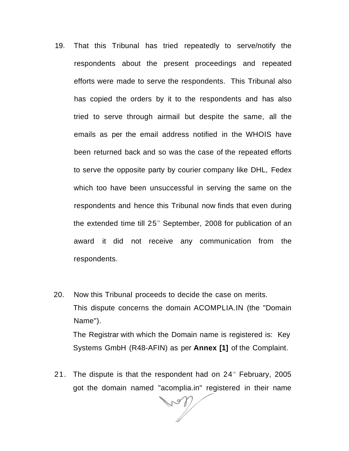- 19. That this Tribunal has tried repeatedly to serve/notify the respondents about the present proceedings and repeated efforts were made to serve the respondents. This Tribunal also has copied the orders by it to the respondents and has also tried to serve through airmail but despite the same, all the emails as per the email address notified in the WHOIS have been returned back and so was the case of the repeated efforts to serve the opposite party by courier company like DHL, Fedex which too have been unsuccessful in serving the same on the respondents and hence this Tribunal now finds that even during the extended time till 25<sup>th</sup> September, 2008 for publication of an award it did not receive any communication from the respondents.
- 20. Now this Tribunal proceeds to decide the case on merits. This dispute concerns the domain ACOMPLIA.IN (the "Domain Name"). The Registrar with which the Domain name is registered is: Key

Systems GmbH (R48-AFIN) as per **Annex [1]** of the Complaint.

21. The dispute is that the respondent had on  $24$ <sup>th</sup> February, 2005 got the domain named "acomplia.in" registered in their name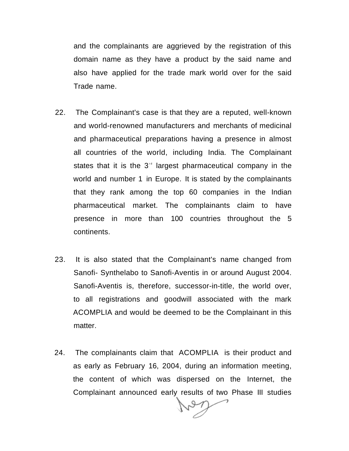and the complainants are aggrieved by the registration of this domain name as they have a product by the said name and also have applied for the trade mark world over for the said Trade name.

- 22. The Complainant's case is that they are a reputed, well-known and world-renowned manufacturers and merchants of medicinal and pharmaceutical preparations having a presence in almost all countries of the world, including India. The Complainant states that it is the  $3<sup>rd</sup>$  largest pharmaceutical company in the world and number 1 in Europe. It is stated by the complainants that they rank among the top 60 companies in the Indian pharmaceutical market. The complainants claim to have presence in more than 100 countries throughout the 5 continents.
- 23. It is also stated that the Complainant's name changed from Sanofi- Synthelabo to Sanofi-Aventis in or around August 2004. Sanofi-Aventis is, therefore, successor-in-title, the world over, to all registrations and goodwill associated with the mark ACOMPLIA and would be deemed to be the Complainant in this matter.
- 24. The complainants claim that ACOMPLIA is their product and as early as February 16, 2004, during an information meeting, the content of which was dispersed on the Internet, the Complainant announced early results of two Phase III studies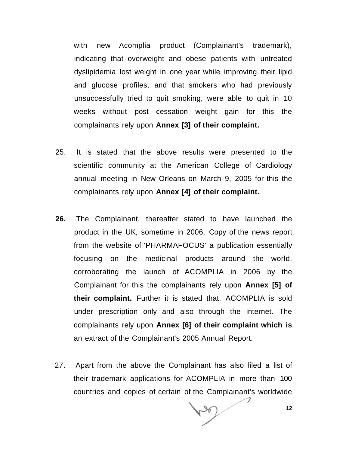with new Acomplia product (Complainant's trademark), indicating that overweight and obese patients with untreated dyslipidemia lost weight in one year while improving their lipid and glucose profiles, and that smokers who had previously unsuccessfully tried to quit smoking, were able to quit in 10 weeks without post cessation weight gain for this the complainants rely upon **Annex [3] of their complaint.** 

- 25. It is stated that the above results were presented to the scientific community at the American College of Cardiology annual meeting in New Orleans on March 9, 2005 for this the complainants rely upon **Annex [4] of their complaint.**
- **26.** The Complainant, thereafter stated to have launched the product in the UK, sometime in 2006. Copy of the news report from the website of 'PHARMAFOCUS' a publication essentially focusing on the medicinal products around the world, corroborating the launch of ACOMPLIA in 2006 by the Complainant for this the complainants rely upon **Annex [5] of their complaint.** Further it is stated that, ACOMPLIA is sold under prescription only and also through the internet. The complainants rely upon **Annex [6] of their complaint which is**  an extract of the Complainant's 2005 Annual Report.
- 27. Apart from the above the Complainant has also filed a list of their trademark applications for ACOMPLIA in more than 100 countries and copies of certain of the Complainant's worldwide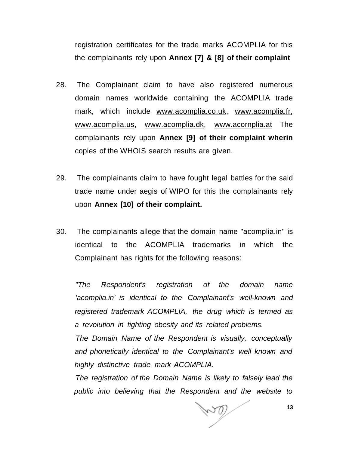registration certificates for the trade marks ACOMPLIA for this the complainants rely upon **Annex [7] & [8] of their complaint** 

- 28. The Complainant claim to have also registered numerous domain names worldwide containing the ACOMPLIA trade mark, which include [www.acomplia.co.uk,](http://www.acomplia.co.uk) [www.acomplia.fr,](http://www.acomplia.fr) [www.acomplia.us,](http://www.acomplia.us) [www.acomplia.dk,](http://www.acomplia.dk) [www.acornplia.at](http://www.acornplia.at) The complainants rely upon **Annex [9] of their complaint wherin**  copies of the WHOIS search results are given.
- 29. The complainants claim to have fought legal battles for the said trade name under aegis of WIPO for this the complainants rely upon **Annex [10] of their complaint.**
- 30. The complainants allege that the domain name "acomplia.in" is identical to the ACOMPLIA trademarks in which the Complainant has rights for the following reasons:

"The Respondent's registration of the domain name 'acomplia.in' is identical to the Complainant's well-known and registered trademark ACOMPLIA, the drug which is termed as a revolution in fighting obesity and its related problems.

The Domain Name of the Respondent is visually, conceptually and phonetically identical to the Complainant's well known and highly distinctive trade mark ACOMPLIA.

The registration of the Domain Name is likely to falsely lead the public into believing that the Respondent and the website to

**13**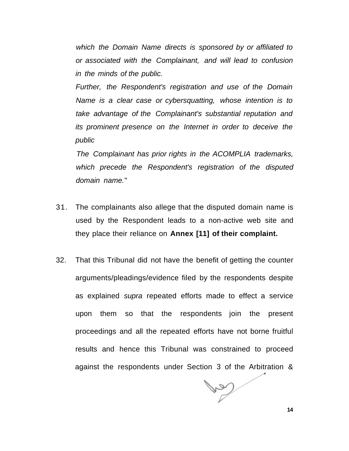which the Domain Name directs is sponsored by or affiliated to or associated with the Complainant, and will lead to confusion in the minds of the public.

Further, the Respondent's registration and use of the Domain Name is a clear case or cybersquatting, whose intention is to take advantage of the Complainant's substantial reputation and its prominent presence on the Internet in order to deceive the public

The Complainant has prior rights in the ACOMPLIA trademarks, which precede the Respondent's registration of the disputed domain name."

- 31. The complainants also allege that the disputed domain name is used by the Respondent leads to a non-active web site and they place their reliance on **Annex [11] of their complaint.**
- 32. That this Tribunal did not have the benefit of getting the counter arguments/pleadings/evidence filed by the respondents despite as explained supra repeated efforts made to effect a service upon them so that the respondents join the present proceedings and all the repeated efforts have not borne fruitful results and hence this Tribunal was constrained to proceed against the respondents under Section 3 of the Arbitration &

 $\mathbb{V}$ 

**14**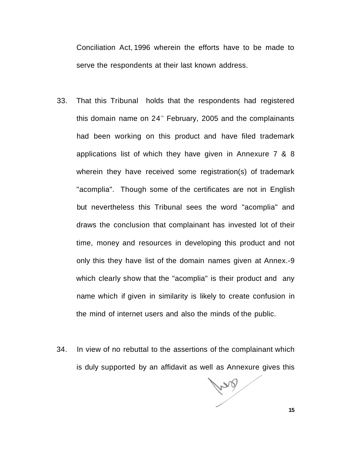Conciliation Act, 1996 wherein the efforts have to be made to serve the respondents at their last known address.

- 33. That this Tribunal holds that the respondents had registered this domain name on  $24$ <sup>th</sup> February, 2005 and the complainants had been working on this product and have filed trademark applications list of which they have given in Annexure 7 & 8 wherein they have received some registration(s) of trademark "acomplia". Though some of the certificates are not in English but nevertheless this Tribunal sees the word "acomplia" and draws the conclusion that complainant has invested lot of their time, money and resources in developing this product and not only this they have list of the domain names given at Annex.-9 which clearly show that the "acomplia" is their product and any name which if given in similarity is likely to create confusion in the mind of internet users and also the minds of the public.
- 34. In view of no rebuttal to the assertions of the complainant which is duly supported by an affidavit as well as Annexure gives this

Pro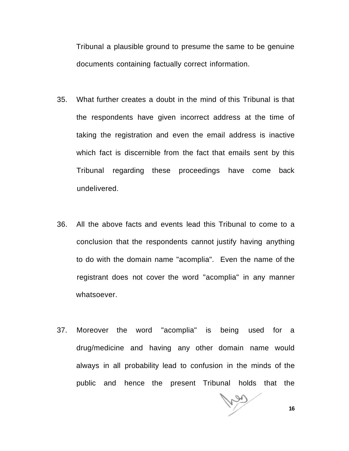Tribunal a plausible ground to presume the same to be genuine documents containing factually correct information.

- 35. What further creates a doubt in the mind of this Tribunal is that the respondents have given incorrect address at the time of taking the registration and even the email address is inactive which fact is discernible from the fact that emails sent by this Tribunal regarding these proceedings have come back undelivered.
- 36. All the above facts and events lead this Tribunal to come to a conclusion that the respondents cannot justify having anything to do with the domain name "acomplia". Even the name of the registrant does not cover the word "acomplia" in any manner whatsoever.
- 37. Moreover the word "acomplia" is being used for a drug/medicine and having any other domain name would always in all probability lead to confusion in the minds of the public and hence the present Tribunal holds that the

**16**